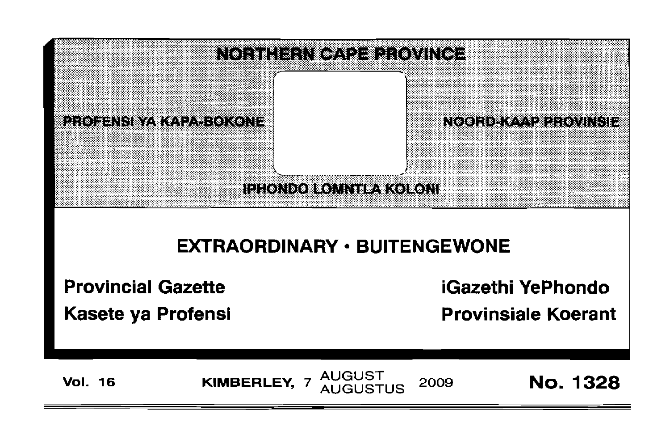

# **EXTRAORDINARY · BUITENGEWONE**

**Provincial Gazette** 

Kasete ya Profensi

**iGazethi YePhondo** 

**Provinsiale Koerant** 

**Vol. 16** 

**AUGUST** KIMBERLEY, 7 2009 AUGUSTUS

**No. 1328**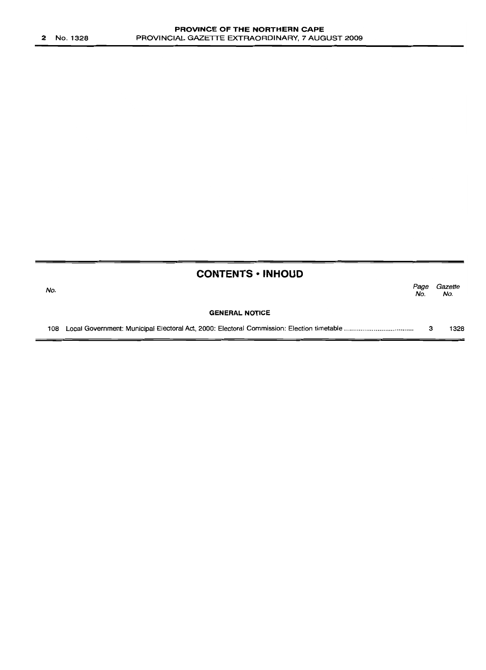|     | <b>CONTENTS • INHOUD</b> |             |                |
|-----|--------------------------|-------------|----------------|
| No. |                          | Page<br>No. | Gazette<br>No. |
|     | <b>GENERAL NOTICE</b>    |             |                |
| 108 |                          | з           | 1328           |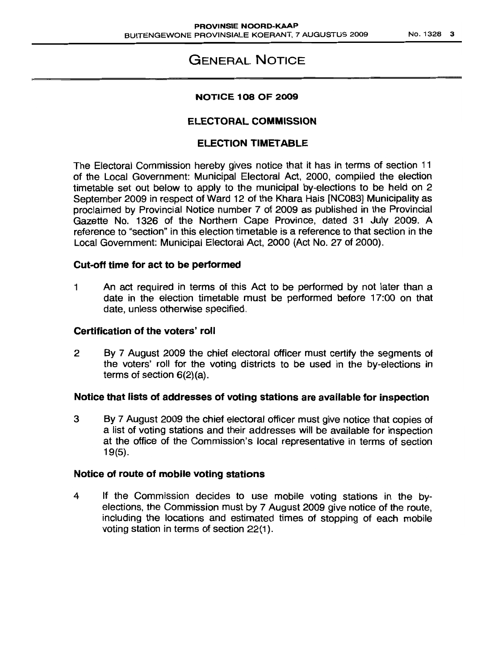# GENERAL NOTICE

#### NOTICE 108 OF 2009

## ELECTORAL COMMISSION

## ELECTION TIMETABLE

The Electoral Commission hereby gives notice that it has in terms of section 11 of the Local Government: Municipal Electoral Act, 2000, compiled the election timetable set out below to apply to the municipal by-elections to be held on 2 September 2009 in respect of Ward 12 of the Khara Hais [NC083] Municipality as proclaimed by Provincial Notice number 7 of 2009 as published in the Provincial Gazette No. 1326 of the Northern Cape Province, dated 31 July 2009. A reference to "section" in this election timetable is a reference to that section in the Local Government: Municipal Electoral Act, 2000 (Act No. 27 of 2000).

#### Cut-off time for act to be performed

1 An act required in terms of this Act to be performed by not later than a date in the election timetable must be performed before 17:00 on that date, unless otherwise specified.

#### Certification of the voters' roll

2 By 7 August 2009 the chief electoral officer must certify the segments of the voters' roll for the voting districts to be used in the by-elections in terms of section 6(2)(a).

#### Notice that lists of addresses of voting stations are available for inspection

3 By 7 August 2009 the chief electoral officer must give notice that copies of a list of voting stations and their addresses will be available for inspection at the office of the Commission's local representative in terms of section 19(5).

#### Notice of route of mobile voting stations

4 If the Commission decides to use mobile voting stations in the byelections, the Commission must by 7 August 2009 give notice of the route, including the locations and estimated times of stopping of each mobile voting station in terms of section 22(1).